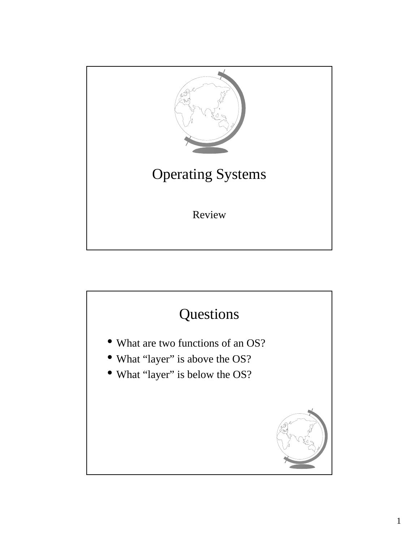

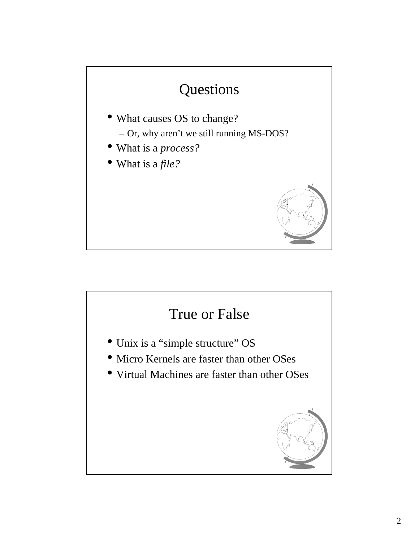

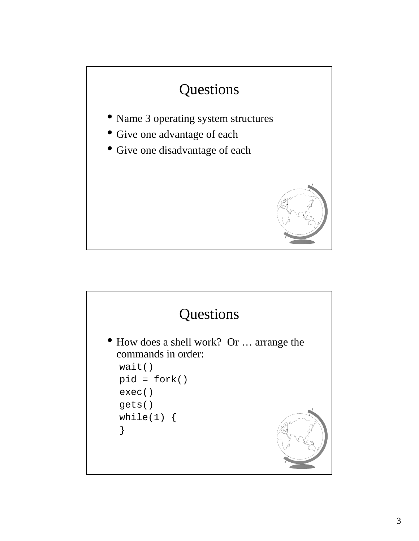

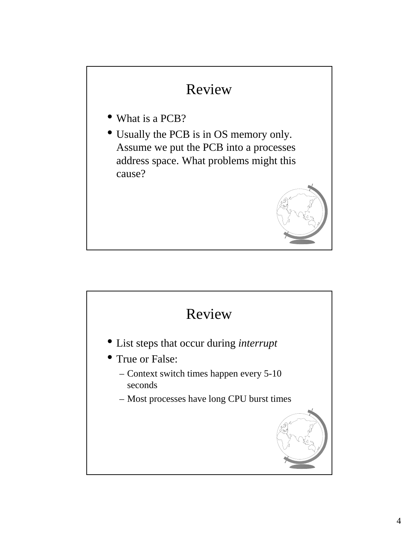### Review

- What is a PCB?
- Usually the PCB is in OS memory only. Assume we put the PCB into a processes address space. What problems might this cause?



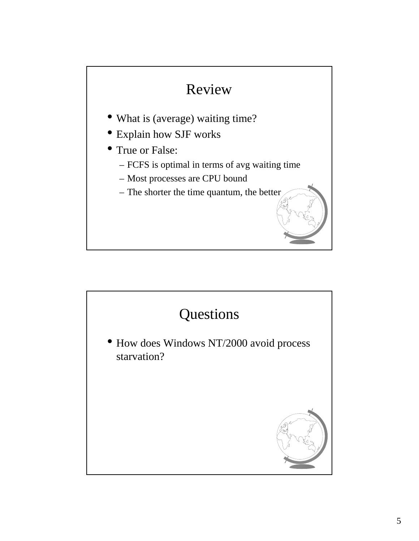

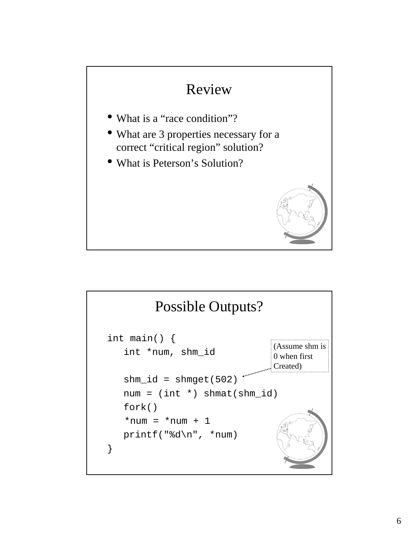

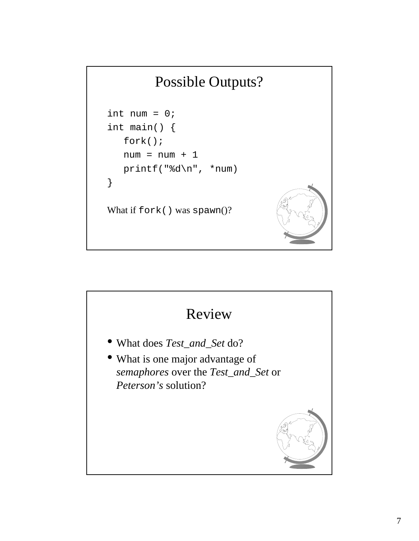## Possible Outputs?

```
int num = 0;
int main() { 
   fork();
   num = num + 1printf("%d\n", *num)
} 
What if fork() was spawn()?
```
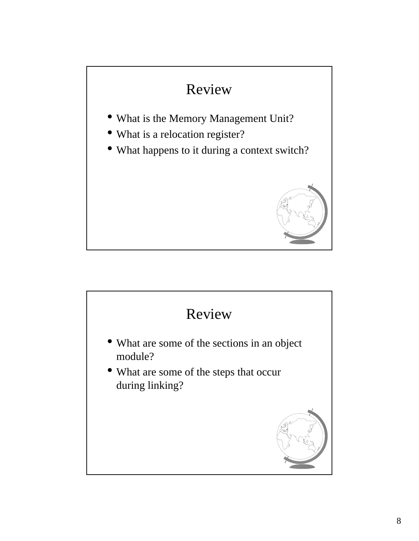# Review • What is the Memory Management Unit? • What is a relocation register? • What happens to it during a context switch?

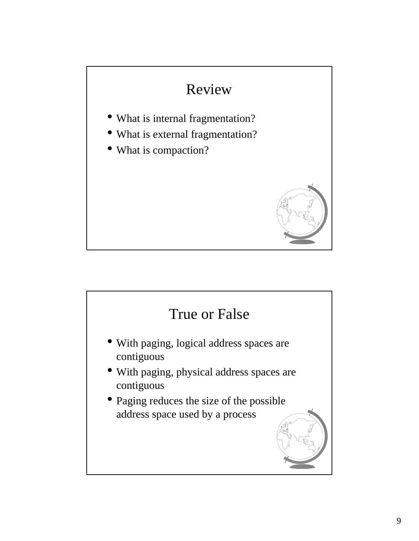# Review • What is internal fragmentation? • What is external fragmentation? • What is compaction?

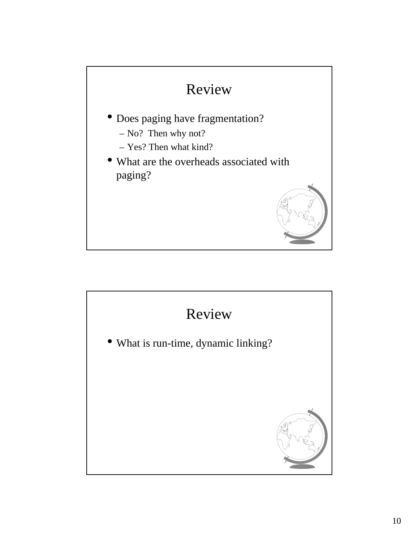

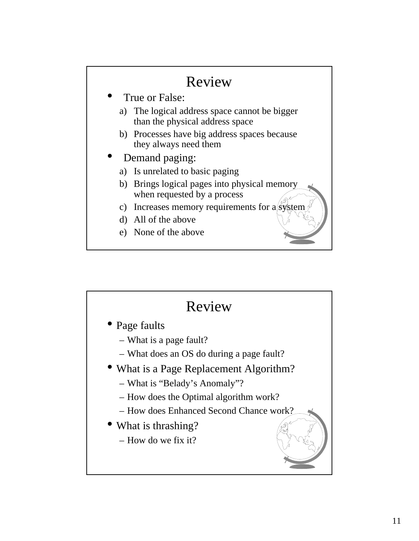#### Review True or False: a) The logical address space cannot be bigger than the physical address space b) Processes have big address spaces because they always need them • Demand paging: a) Is unrelated to basic paging b) Brings logical pages into physical memory when requested by a process c) Increases memory requirements for a  $\oint$ d) All of the above e) None of the above

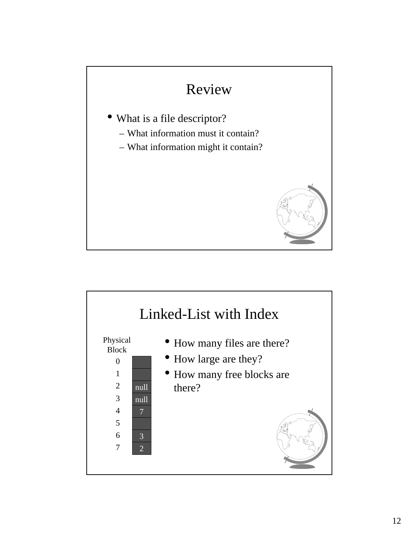

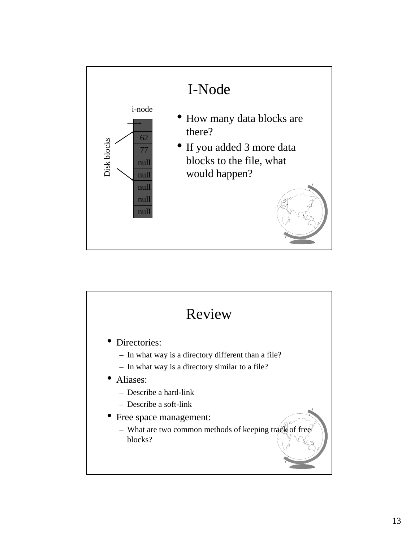

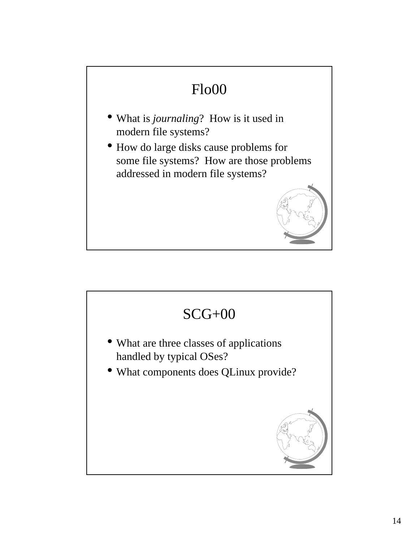## Flo00 • What is *journaling*? How is it used in modern file systems? • How do large disks cause problems for some file systems? How are those problems addressed in modern file systems?